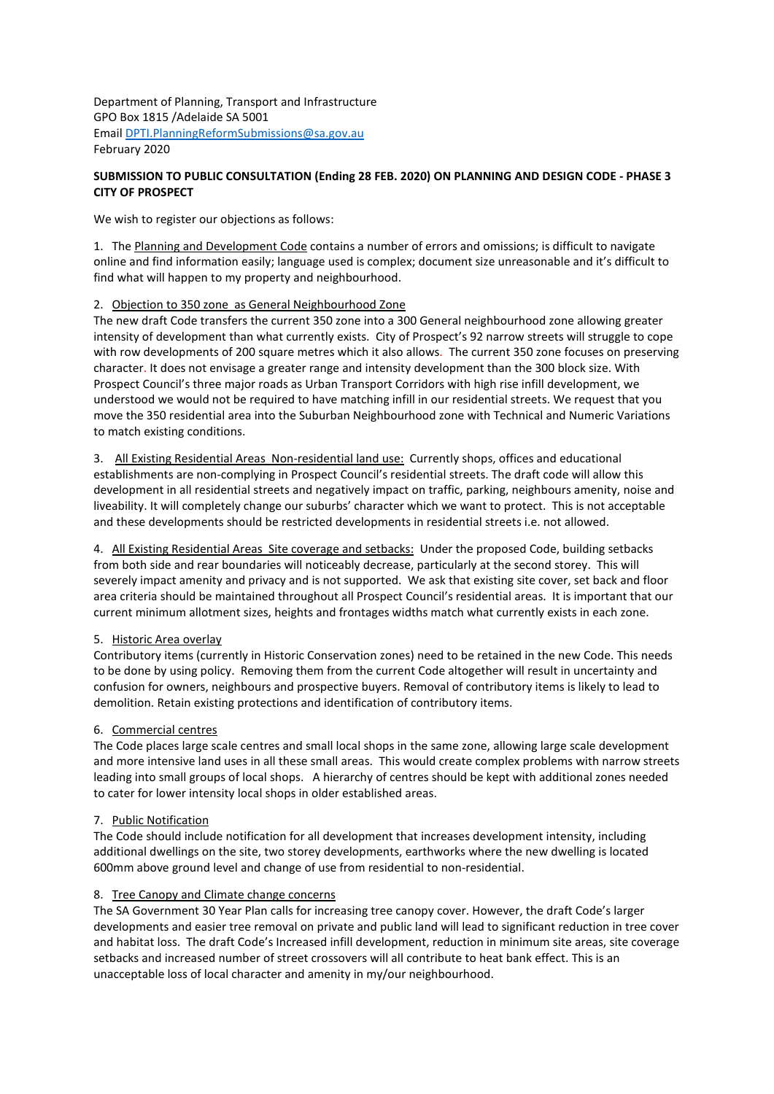Department of Planning, Transport and Infrastructure GPO Box 1815 /Adelaide SA 5001 Emai[l DPTI.PlanningReformSubmissions@sa.gov.au](mailto:DPTI.PlanningReformSubmissions@sa.gov.au) February 2020

# **SUBMISSION TO PUBLIC CONSULTATION (Ending 28 FEB. 2020) ON PLANNING AND DESIGN CODE - PHASE 3 CITY OF PROSPECT**

We wish to register our objections as follows:

1. The Planning and Development Code contains a number of errors and omissions; is difficult to navigate online and find information easily; language used is complex; document size unreasonable and it's difficult to find what will happen to my property and neighbourhood.

# 2. Objection to 350 zone as General Neighbourhood Zone

The new draft Code transfers the current 350 zone into a 300 General neighbourhood zone allowing greater intensity of development than what currently exists. City of Prospect's 92 narrow streets will struggle to cope with row developments of 200 square metres which it also allows. The current 350 zone focuses on preserving character. It does not envisage a greater range and intensity development than the 300 block size. With Prospect Council's three major roads as Urban Transport Corridors with high rise infill development, we understood we would not be required to have matching infill in our residential streets. We request that you move the 350 residential area into the Suburban Neighbourhood zone with Technical and Numeric Variations to match existing conditions.

3. All Existing Residential Areas Non-residential land use: Currently shops, offices and educational establishments are non-complying in Prospect Council's residential streets. The draft code will allow this development in all residential streets and negatively impact on traffic, parking, neighbours amenity, noise and liveability. It will completely change our suburbs' character which we want to protect. This is not acceptable and these developments should be restricted developments in residential streets i.e. not allowed.

4. All Existing Residential Areas Site coverage and setbacks: Under the proposed Code, building setbacks from both side and rear boundaries will noticeably decrease, particularly at the second storey. This will severely impact amenity and privacy and is not supported. We ask that existing site cover, set back and floor area criteria should be maintained throughout all Prospect Council's residential areas. It is important that our current minimum allotment sizes, heights and frontages widths match what currently exists in each zone.

#### 5. Historic Area overlay

Contributory items (currently in Historic Conservation zones) need to be retained in the new Code. This needs to be done by using policy. Removing them from the current Code altogether will result in uncertainty and confusion for owners, neighbours and prospective buyers. Removal of contributory items is likely to lead to demolition. Retain existing protections and identification of contributory items.

#### 6. Commercial centres

The Code places large scale centres and small local shops in the same zone, allowing large scale development and more intensive land uses in all these small areas. This would create complex problems with narrow streets leading into small groups of local shops. A hierarchy of centres should be kept with additional zones needed to cater for lower intensity local shops in older established areas.

#### 7. Public Notification

The Code should include notification for all development that increases development intensity, including additional dwellings on the site, two storey developments, earthworks where the new dwelling is located 600mm above ground level and change of use from residential to non-residential.

#### 8. Tree Canopy and Climate change concerns

The SA Government 30 Year Plan calls for increasing tree canopy cover. However, the draft Code's larger developments and easier tree removal on private and public land will lead to significant reduction in tree cover and habitat loss. The draft Code's Increased infill development, reduction in minimum site areas, site coverage setbacks and increased number of street crossovers will all contribute to heat bank effect. This is an unacceptable loss of local character and amenity in my/our neighbourhood.